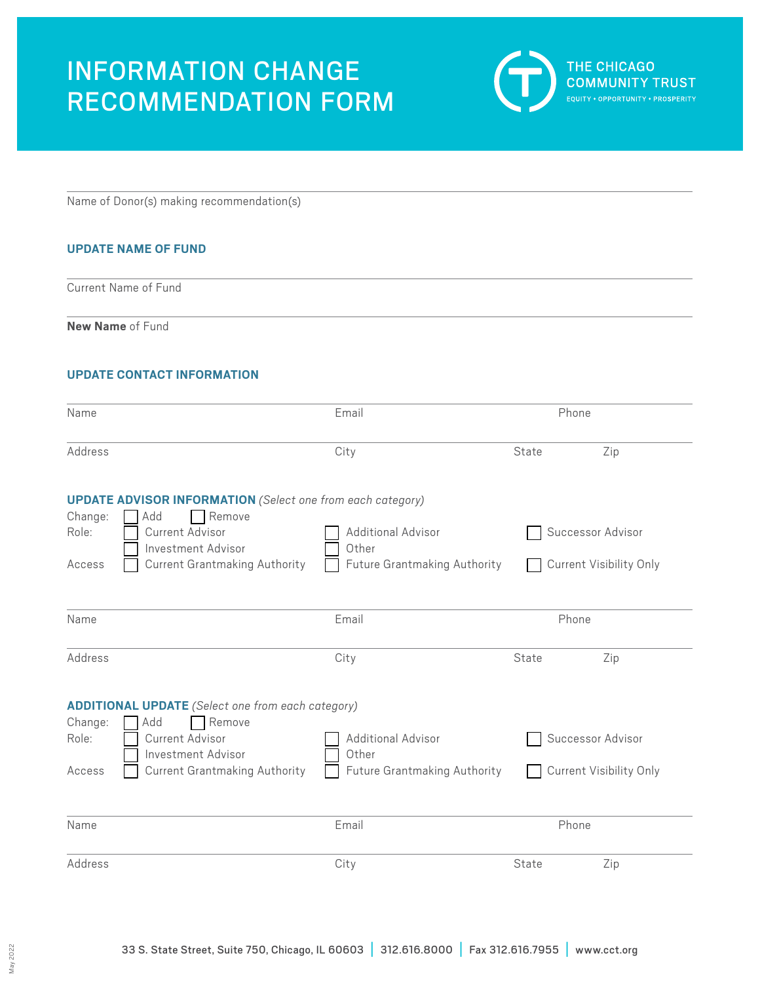# INFORMATION CHANGE RECOMMENDATION FORM



Name of Donor(s) making recommendation(s)

# **UPDATE NAME OF FUND**

Current Name of Fund

**New Name** of Fund

## **UPDATE CONTACT INFORMATION**

| Name             |                                                                                    | Email                               | Phone |                                |
|------------------|------------------------------------------------------------------------------------|-------------------------------------|-------|--------------------------------|
| Address          |                                                                                    | City                                | State | Zip                            |
| Change:          | <b>UPDATE ADVISOR INFORMATION</b> (Select one from each category)<br>Remove<br>Add |                                     |       |                                |
| Role:            | Current Advisor<br>Investment Advisor                                              | <b>Additional Advisor</b><br>Other  |       | Successor Advisor              |
| Access           | <b>Current Grantmaking Authority</b>                                               | <b>Future Grantmaking Authority</b> |       | Current Visibility Only        |
| Name             |                                                                                    | Email                               | Phone |                                |
| Address          |                                                                                    | City                                | State | Zip                            |
|                  | <b>ADDITIONAL UPDATE</b> (Select one from each category)                           |                                     |       |                                |
| Change:<br>Role: | Remove<br>Add<br><b>Current Advisor</b><br>Investment Advisor                      | <b>Additional Advisor</b><br>Other  |       | Successor Advisor              |
| Access           | <b>Current Grantmaking Authority</b>                                               | Future Grantmaking Authority        |       | <b>Current Visibility Only</b> |
| Name             |                                                                                    | Email                               | Phone |                                |
| Address          |                                                                                    | City                                | State | Zip                            |